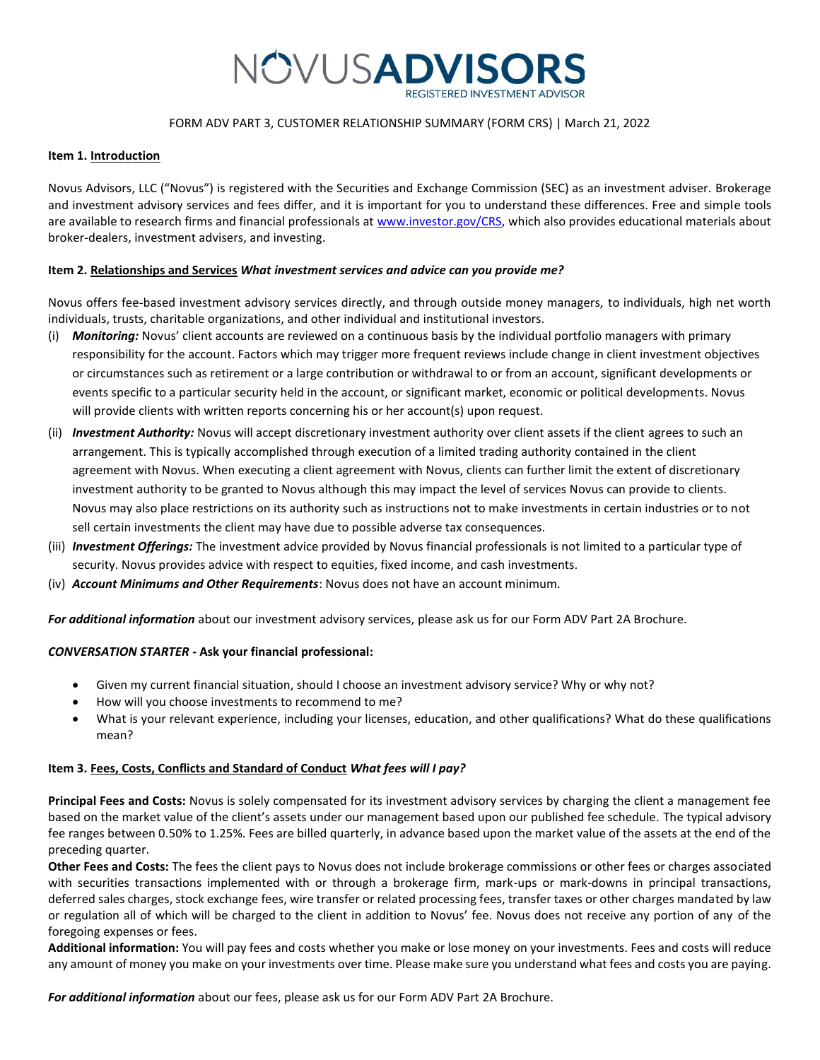

## FORM ADV PART 3, CUSTOMER RELATIONSHIP SUMMARY (FORM CRS) | March 21, 2022

#### **Item 1. Introduction**

Novus Advisors, LLC ("Novus") is registered with the Securities and Exchange Commission (SEC) as an investment adviser. Brokerage and investment advisory services and fees differ, and it is important for you to understand these differences. Free and simple tools are available to research firms and financial professionals a[t www.investor.gov/CRS,](http://www.investor.gov/CRS) which also provides educational materials about broker-dealers, investment advisers, and investing.

### **Item 2. Relationships and Services** *What investment services and advice can you provide me?*

Novus offers fee-based investment advisory services directly, and through outside money managers, to individuals, high net worth individuals, trusts, charitable organizations, and other individual and institutional investors.

- (i) *Monitoring:* Novus' client accounts are reviewed on a continuous basis by the individual portfolio managers with primary responsibility for the account. Factors which may trigger more frequent reviews include change in client investment objectives or circumstances such as retirement or a large contribution or withdrawal to or from an account, significant developments or events specific to a particular security held in the account, or significant market, economic or political developments. Novus will provide clients with written reports concerning his or her account(s) upon request.
- (ii) *Investment Authority:* Novus will accept discretionary investment authority over client assets if the client agrees to such an arrangement. This is typically accomplished through execution of a limited trading authority contained in the client agreement with Novus. When executing a client agreement with Novus, clients can further limit the extent of discretionary investment authority to be granted to Novus although this may impact the level of services Novus can provide to clients. Novus may also place restrictions on its authority such as instructions not to make investments in certain industries or to not sell certain investments the client may have due to possible adverse tax consequences.
- (iii) *Investment Offerings:* The investment advice provided by Novus financial professionals is not limited to a particular type of security. Novus provides advice with respect to equities, fixed income, and cash investments.
- (iv) *Account Minimums and Other Requirements*: Novus does not have an account minimum.

*For additional information* about our investment advisory services, please ask us for our Form ADV Part 2A Brochure.

### *CONVERSATION STARTER -* **Ask your financial professional:**

- Given my current financial situation, should I choose an investment advisory service? Why or why not?
- How will you choose investments to recommend to me?
- What is your relevant experience, including your licenses, education, and other qualifications? What do these qualifications mean?

### **Item 3. Fees, Costs, Conflicts and Standard of Conduct** *What fees will I pay?*

**Principal Fees and Costs:** Novus is solely compensated for its investment advisory services by charging the client a management fee based on the market value of the client's assets under our management based upon our published fee schedule. The typical advisory fee ranges between 0.50% to 1.25%. Fees are billed quarterly, in advance based upon the market value of the assets at the end of the preceding quarter.

**Other Fees and Costs:** The fees the client pays to Novus does not include brokerage commissions or other fees or charges associated with securities transactions implemented with or through a brokerage firm, mark-ups or mark-downs in principal transactions, deferred sales charges, stock exchange fees, wire transfer or related processing fees, transfer taxes or other charges mandated by law or regulation all of which will be charged to the client in addition to Novus' fee. Novus does not receive any portion of any of the foregoing expenses or fees.

**Additional information:** You will pay fees and costs whether you make or lose money on your investments. Fees and costs will reduce any amount of money you make on your investments over time. Please make sure you understand what fees and costs you are paying.

*For additional information* about our fees, please ask us for our Form ADV Part 2A Brochure.